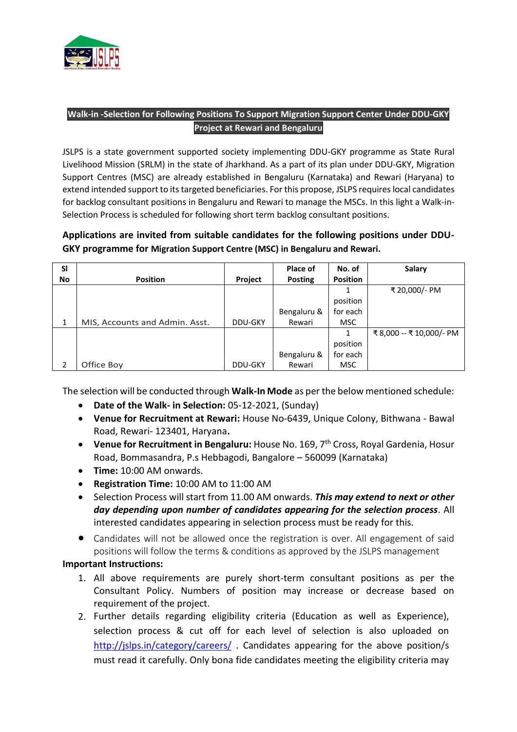

## **Walk-in -Selection for Following Positions To Support Migration Support Center Under DDU-GKY Project at Rewari and Bengaluru**

JSLPS is a state government supported society implementing DDU-GKY programme as State Rural Livelihood Mission (SRLM) in the state of Jharkhand. As a part of its plan under DDU-GKY, Migration Support Centres (MSC) are already established in Bengaluru (Karnataka) and Rewari (Haryana) to extend intended support to its targeted beneficiaries. For this propose, JSLPS requires local candidates for backlog consultant positions in Bengaluru and Rewari to manage the MSCs. In this light a Walk-in-Selection Process is scheduled for following short term backlog consultant positions.

# **Applications are invited from suitable candidates for the following positions under DDU-GKY programme for Migration Support Centre (MSC) in Bengaluru and Rewari.**

| <b>SI</b>     |                                |         | Place of       | No. of          | Salary                 |
|---------------|--------------------------------|---------|----------------|-----------------|------------------------|
| <b>No</b>     | <b>Position</b>                | Project | <b>Posting</b> | <b>Position</b> |                        |
|               |                                |         |                |                 | ₹ 20,000/- PM          |
|               |                                |         |                | position        |                        |
|               |                                |         | Bengaluru &    | for each        |                        |
| 1             | MIS, Accounts and Admin. Asst. | DDU-GKY | Rewari         | MSC.            |                        |
|               |                                |         |                |                 | ₹8,000 -- ₹10,000/- PM |
|               |                                |         |                | position        |                        |
|               |                                |         | Bengaluru &    | for each        |                        |
| $\mathcal{P}$ | Office Boy                     | DDU-GKY | Rewari         | <b>MSC</b>      |                        |

The selection will be conducted through **Walk-In Mode** as per the below mentioned schedule:

- **Date of the Walk- in Selection:** 05-12-2021, (Sunday)
- **Venue for Recruitment at Rewari:** House No-6439, Unique Colony, Bithwana Bawal Road, Rewari- 123401, Haryana**.**
- **Venue for Recruitment in Bengaluru:** House No. 169, 7th Cross, Royal Gardenia, Hosur Road, Bommasandra, P.s Hebbagodi, Bangalore – 560099 (Karnataka)
- **Time:** 10:00 AM onwards.
- **Registration Time:** 10:00 AM to 11:00 AM
- Selection Process will start from 11.00 AM onwards. *This may extend to next or other day depending upon number of candidates appearing for the selection process*. All interested candidates appearing in selection process must be ready for this.
- Candidates will not be allowed once the registration is over. All engagement of said positions will follow the terms & conditions as approved by the JSLPS management

### **Important Instructions:**

- 1. All above requirements are purely short-term consultant positions as per the Consultant Policy. Numbers of position may increase or decrease based on requirement of the project.
- 2. Further details regarding eligibility criteria (Education as well as Experience), selection process & cut off for each level of selection is also uploaded on <http://jslps.in/category/careers/> . Candidates appearing for the above position/s must read it carefully. Only bona fide candidates meeting the eligibility criteria may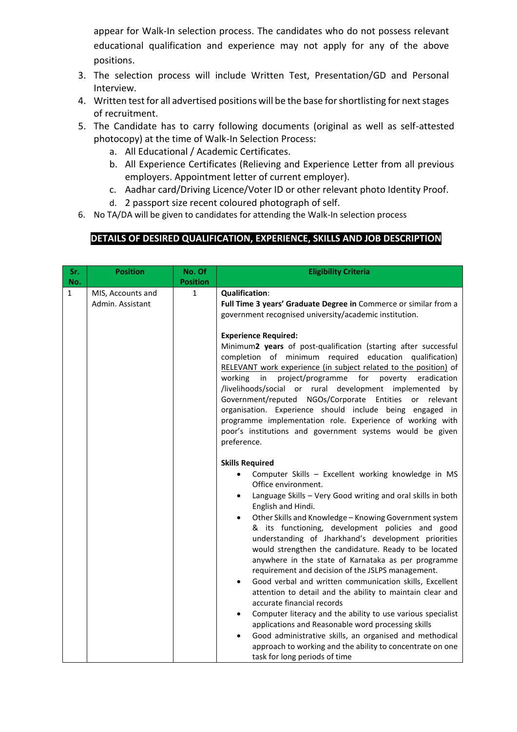appear for Walk-In selection process. The candidates who do not possess relevant educational qualification and experience may not apply for any of the above positions.

- 3. The selection process will include Written Test, Presentation/GD and Personal Interview.
- 4. Written test for all advertised positions will be the base for shortlisting for next stages of recruitment.
- 5. The Candidate has to carry following documents (original as well as self-attested photocopy) at the time of Walk-In Selection Process:
	- a. All Educational / Academic Certificates.
	- b. All Experience Certificates (Relieving and Experience Letter from all previous employers. Appointment letter of current employer).
	- c. Aadhar card/Driving Licence/Voter ID or other relevant photo Identity Proof.
	- d. 2 passport size recent coloured photograph of self.
- 6. No TA/DA will be given to candidates for attending the Walk-In selection process

## **DETAILS OF DESIRED QUALIFICATION, EXPERIENCE, SKILLS AND JOB DESCRIPTION**

| Sr.                 | <b>Position</b>                       | No. Of                          | <b>Eligibility Criteria</b>                                                                                                                                                                                                                                                                                                                                                                                                                                                                                                                                                                                                                                                                                                                                                                                                                                                                                                      |  |
|---------------------|---------------------------------------|---------------------------------|----------------------------------------------------------------------------------------------------------------------------------------------------------------------------------------------------------------------------------------------------------------------------------------------------------------------------------------------------------------------------------------------------------------------------------------------------------------------------------------------------------------------------------------------------------------------------------------------------------------------------------------------------------------------------------------------------------------------------------------------------------------------------------------------------------------------------------------------------------------------------------------------------------------------------------|--|
| No.<br>$\mathbf{1}$ | MIS, Accounts and<br>Admin. Assistant | <b>Position</b><br>$\mathbf{1}$ | <b>Qualification:</b><br>Full Time 3 years' Graduate Degree in Commerce or similar from a<br>government recognised university/academic institution.                                                                                                                                                                                                                                                                                                                                                                                                                                                                                                                                                                                                                                                                                                                                                                              |  |
|                     |                                       |                                 | <b>Experience Required:</b><br>Minimum2 years of post-qualification (starting after successful<br>completion of minimum required education qualification)<br>RELEVANT work experience (in subject related to the position) of<br>project/programme for<br>working<br>poverty<br>eradication<br>in<br>/livelihoods/social or rural development implemented<br>by<br>Government/reputed NGOs/Corporate Entities<br>or<br>relevant<br>organisation. Experience should include being engaged in<br>programme implementation role. Experience of working with<br>poor's institutions and government systems would be given<br>preference.                                                                                                                                                                                                                                                                                             |  |
|                     |                                       |                                 | <b>Skills Required</b><br>Computer Skills - Excellent working knowledge in MS<br>$\bullet$<br>Office environment.                                                                                                                                                                                                                                                                                                                                                                                                                                                                                                                                                                                                                                                                                                                                                                                                                |  |
|                     |                                       |                                 | Language Skills - Very Good writing and oral skills in both<br>$\bullet$<br>English and Hindi.<br>Other Skills and Knowledge - Knowing Government system<br>$\bullet$<br>& its functioning, development policies and good<br>understanding of Jharkhand's development priorities<br>would strengthen the candidature. Ready to be located<br>anywhere in the state of Karnataka as per programme<br>requirement and decision of the JSLPS management.<br>Good verbal and written communication skills, Excellent<br>$\bullet$<br>attention to detail and the ability to maintain clear and<br>accurate financial records<br>Computer literacy and the ability to use various specialist<br>$\bullet$<br>applications and Reasonable word processing skills<br>Good administrative skills, an organised and methodical<br>$\bullet$<br>approach to working and the ability to concentrate on one<br>task for long periods of time |  |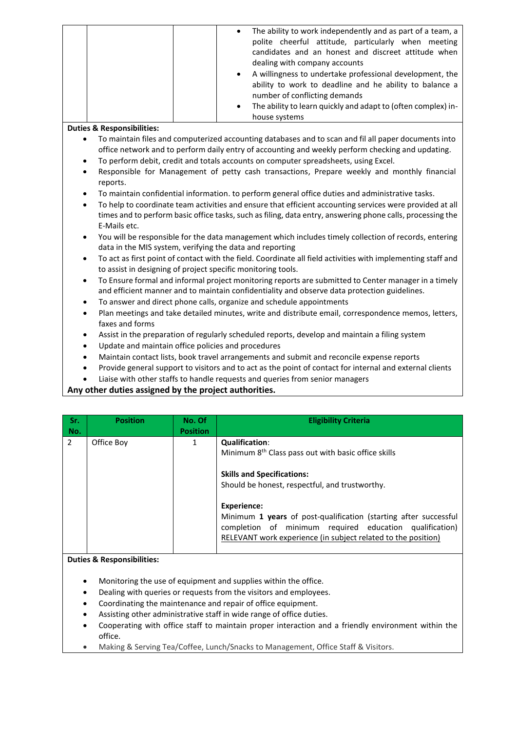|  | The ability to work independently and as part of a team, a<br>$\bullet$<br>polite cheerful attitude, particularly when meeting<br>candidates and an honest and discreet attitude when<br>dealing with company accounts |
|--|------------------------------------------------------------------------------------------------------------------------------------------------------------------------------------------------------------------------|
|  | A willingness to undertake professional development, the<br>$\bullet$<br>ability to work to deadline and he ability to balance a<br>number of conflicting demands                                                      |
|  | The ability to learn quickly and adapt to (often complex) in-<br>$\bullet$<br>house systems                                                                                                                            |

#### **Duties & Responsibilities:**

- To maintain files and computerized accounting databases and to scan and fil all paper documents into office network and to perform daily entry of accounting and weekly perform checking and updating.
- To perform debit, credit and totals accounts on computer spreadsheets, using Excel.
- Responsible for Management of petty cash transactions, Prepare weekly and monthly financial reports.
- To maintain confidential information. to perform general office duties and administrative tasks.
- To help to coordinate team activities and ensure that efficient accounting services were provided at all times and to perform basic office tasks, such as filing, data entry, answering phone calls, processing the E-Mails etc.
- You will be responsible for the data management which includes timely collection of records, entering data in the MIS system, verifying the data and reporting
- To act as first point of contact with the field. Coordinate all field activities with implementing staff and to assist in designing of project specific monitoring tools.
- To Ensure formal and informal project monitoring reports are submitted to Center manager in a timely and efficient manner and to maintain confidentiality and observe data protection guidelines.
- To answer and direct phone calls, organize and schedule appointments
- Plan meetings and take detailed minutes, write and distribute email, correspondence memos, letters, faxes and forms
- Assist in the preparation of regularly scheduled reports, develop and maintain a filing system
- Update and maintain office policies and procedures
- Maintain contact lists, book travel arrangements and submit and reconcile expense reports
- Provide general support to visitors and to act as the point of contact for internal and external clients
- Liaise with other staffs to handle requests and queries from senior managers

#### **Any other duties assigned by the project authorities.**

| Sr.<br>No.    | <b>Position</b> | No. Of<br><b>Position</b> | <b>Eligibility Criteria</b>                                                                                                                                                                                        |
|---------------|-----------------|---------------------------|--------------------------------------------------------------------------------------------------------------------------------------------------------------------------------------------------------------------|
| $\mathcal{P}$ | Office Boy      | 1                         | <b>Qualification:</b><br>Minimum 8 <sup>th</sup> Class pass out with basic office skills<br><b>Skills and Specifications:</b><br>Should be honest, respectful, and trustworthy.                                    |
|               |                 |                           | <b>Experience:</b><br>Minimum 1 years of post-qualification (starting after successful<br>completion of minimum required education qualification)<br>RELEVANT work experience (in subject related to the position) |

#### **Duties & Responsibilities:**

- Monitoring the use of equipment and supplies within the office.
- Dealing with queries or requests from the visitors and employees.
- Coordinating the maintenance and repair of office equipment.
- Assisting other administrative staff in wide range of office duties.
- Cooperating with office staff to maintain proper interaction and a friendly environment within the office.
- Making & Serving Tea/Coffee, Lunch/Snacks to Management, Office Staff & Visitors.